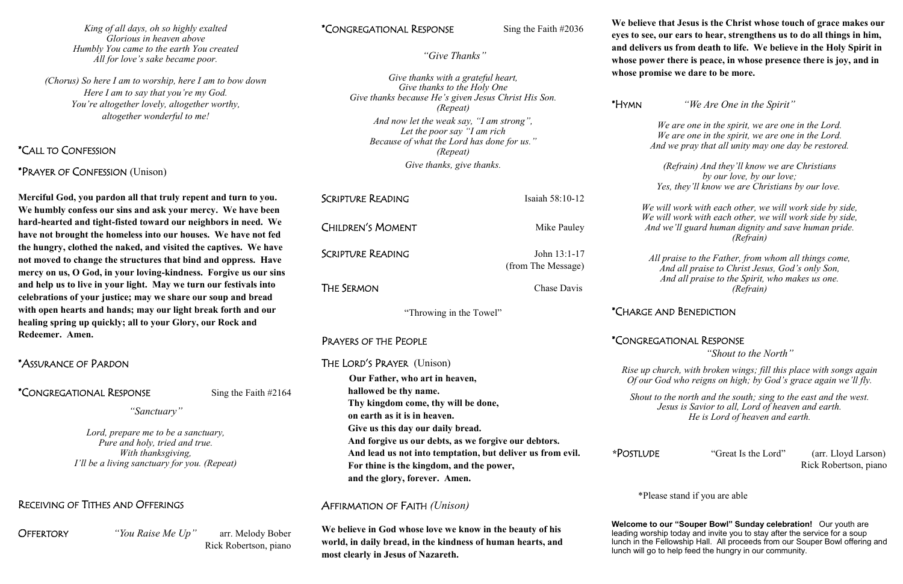| King of all days, oh so highly exalted<br>Glorious in heaven above<br>Humbly You came to the earth You created<br>All for love's sake became poor.                                                     | *CONGREGATIONAL RESPONSE<br>"Give Thanks"                                                                                                                                                                                            | Sing the Faith $#2036$                                                                                                                             | We believe tl<br>eyes to see, o<br>and delivers<br>whose power        |
|--------------------------------------------------------------------------------------------------------------------------------------------------------------------------------------------------------|--------------------------------------------------------------------------------------------------------------------------------------------------------------------------------------------------------------------------------------|----------------------------------------------------------------------------------------------------------------------------------------------------|-----------------------------------------------------------------------|
| (Chorus) So here I am to worship, here I am to bow down<br>Here I am to say that you're my God.<br>You're altogether lovely, altogether worthy,<br>altogether wonderful to me!                         | (Repeat)                                                                                                                                                                                                                             | Give thanks with a grateful heart,<br>Give thanks to the Holy One<br>Give thanks because He's given Jesus Christ His Son.                          |                                                                       |
| <i>*CALL TO CONFESSION</i>                                                                                                                                                                             | (Repeat)                                                                                                                                                                                                                             | And now let the weak say, "I am strong",<br>Let the poor say "I am rich<br>Because of what the Lord has done for us."<br>Give thanks, give thanks. |                                                                       |
| *PRAYER OF CONFESSION (Unison)                                                                                                                                                                         |                                                                                                                                                                                                                                      |                                                                                                                                                    |                                                                       |
| Merciful God, you pardon all that truly repent and turn to you.<br>We humbly confess our sins and ask your mercy. We have been                                                                         | <b>SCRIPTURE READING</b>                                                                                                                                                                                                             | Isaiah 58:10-12                                                                                                                                    | $Y_{\epsilon}$<br>$We$ w<br>$We$ w                                    |
| hard-hearted and tight-fisted toward our neighbors in need. We<br>have not brought the homeless into our houses. We have not fed                                                                       | <b>CHILDREN'S MOMENT</b>                                                                                                                                                                                                             | Mike Pauley                                                                                                                                        | And                                                                   |
| the hungry, clothed the naked, and visited the captives. We have<br>not moved to change the structures that bind and oppress. Have<br>mercy on us, O God, in your loving-kindness. Forgive us our sins | <b>SCRIPTURE READING</b>                                                                                                                                                                                                             | John 13:1-17<br>(from The Message)                                                                                                                 | All                                                                   |
| and help us to live in your light. May we turn our festivals into<br>celebrations of your justice; may we share our soup and bread                                                                     | THE SERMON                                                                                                                                                                                                                           | Chase Davis                                                                                                                                        | £.<br>*CHARGE AI                                                      |
| with open hearts and hands; may our light break forth and our<br>healing spring up quickly; all to your Glory, our Rock and<br>Redeemer. Amen.                                                         |                                                                                                                                                                                                                                      | "Throwing in the Towel"<br>PRAYERS OF THE PEOPLE                                                                                                   |                                                                       |
|                                                                                                                                                                                                        |                                                                                                                                                                                                                                      |                                                                                                                                                    | *Congrega                                                             |
| *ASSURANCE OF PARDON                                                                                                                                                                                   | THE LORD'S PRAYER (Unison)<br>Our Father, who art in heaven,                                                                                                                                                                         |                                                                                                                                                    | Rise up chi<br><i>Of our Go</i>                                       |
| *CONGREGATIONAL RESPONSE<br>Sing the Faith $#2164$<br>"Sanctuary"                                                                                                                                      | on earth as it is in heaven.                                                                                                                                                                                                         | hallowed be thy name.<br>Thy kingdom come, thy will be done,                                                                                       |                                                                       |
| Lord, prepare me to be a sanctuary,<br>Pure and holy, tried and true.<br>With thanksgiving,<br>I'll be a living sanctuary for you. (Repeat)                                                            | Give us this day our daily bread.<br>And forgive us our debts, as we forgive our debtors.<br>And lead us not into temptation, but deliver us from evil.<br>For thine is the kingdom, and the power,<br>and the glory, forever. Amen. |                                                                                                                                                    | *POSTLUDE                                                             |
| RECEIVING OF TITHES AND OFFERINGS                                                                                                                                                                      | AFFIRMATION OF FAITH $(Union)$                                                                                                                                                                                                       |                                                                                                                                                    | *Pleas                                                                |
| <b>OFFERTORY</b><br>"You Raise Me Up"<br>arr. Melody Bober<br>Rick Robertson, piano                                                                                                                    | We believe in God whose love we know in the beauty of his<br>world, in daily bread, in the kindness of human hearts, and<br>most clearly in Jesus of Nazareth.                                                                       |                                                                                                                                                    | Welcome to o<br>leading worshi<br>lunch in the Fe<br>lunch will go to |

hat Jesus is the Christ whose touch of grace makes our **Pure ears to hear, strengthens us to do all things in him,** us from death to life. We believe in the Holy Spirit in there is peace, in whose presence there is joy, and in **ise we dare to be more.** 

### *"We Are One in the Spirit"*

*praise to the Father, from whom all things come, And all praise to Christ Jesus, God's only Son, And all praise to the Spirit, who makes us one. (Refrain)*

### nd Benediction

# **ATIONAL RESPONSE**

*shim the north and the south; sing to the east and the west. Jesus is Savior to all, Lord of heaven and earth. He is Lord of heaven and earth.*

*\**Great Is the Lord" (arr. Lloyd Larson) Rick Robertson, piano

se stand if you are able

**Welcome to our "Souper Bowl" Sunday celebration!** Our youth are ip today and invite you to stay after the service for a soup ellowship Hall. All proceeds from our Souper Bowl offering and help feed the hungry in our community.

*We are one in the spirit, we are one in the Lord. We are one in the spirit, we are one in the Lord. And we pray that all unity may one day be restored.* 

*(Refrain) And they'll know we are Christians by our love, by our love; Yes, they'll know we are Christians by our love.*.

*We will work with each other, we will work side by side, We will work with each other, we will work side by side, And we'll guard human dignity and save human pride. (Refrain)*

*"Shout to the North"*

*Rise up church, with broken wings; fill this place with songs again Of our God who reigns on high; by God's grace again we'll fly.*